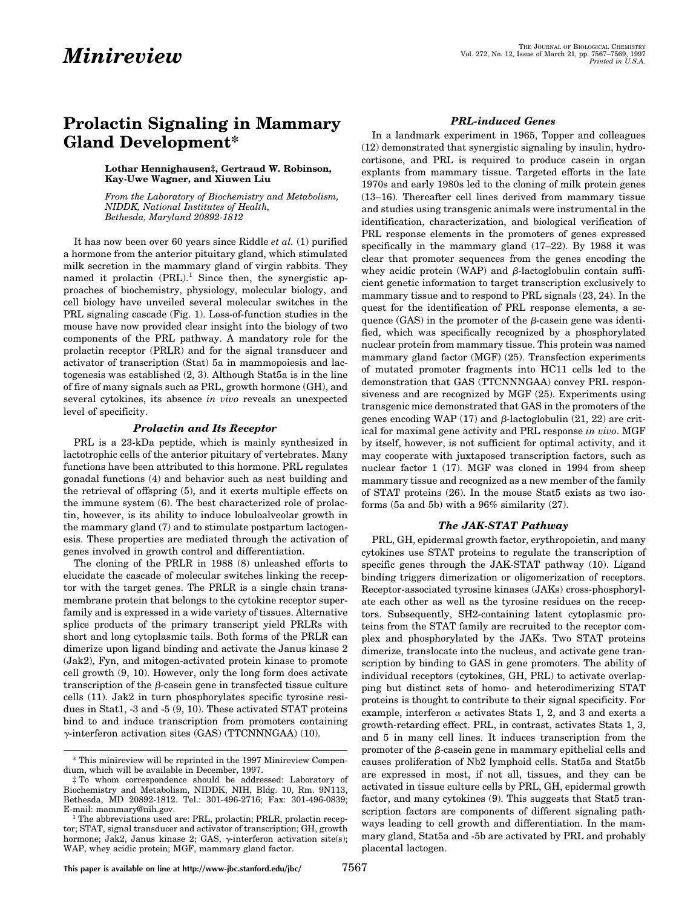# **Prolactin Signaling in Mammary Gland Development\***

### **Lothar Hennighausen‡, Gertraud W. Robinson, Kay-Uwe Wagner, and Xiuwen Liu**

*From the Laboratory of Biochemistry and Metabolism, NIDDK, National Institutes of Health, Bethesda, Maryland 20892-1812*

It has now been over 60 years since Riddle *et al.* (1) purified a hormone from the anterior pituitary gland, which stimulated milk secretion in the mammary gland of virgin rabbits. They named it prolactin  $(PRL)$ <sup>1</sup>. Since then, the synergistic approaches of biochemistry, physiology, molecular biology, and cell biology have unveiled several molecular switches in the PRL signaling cascade (Fig. 1). Loss-of-function studies in the mouse have now provided clear insight into the biology of two components of the PRL pathway. A mandatory role for the prolactin receptor (PRLR) and for the signal transducer and activator of transcription (Stat) 5a in mammopoiesis and lactogenesis was established (2, 3). Although Stat5a is in the line of fire of many signals such as PRL, growth hormone (GH), and several cytokines, its absence *in vivo* reveals an unexpected level of specificity.

## *Prolactin and Its Receptor*

PRL is a 23-kDa peptide, which is mainly synthesized in lactotrophic cells of the anterior pituitary of vertebrates. Many functions have been attributed to this hormone. PRL regulates gonadal functions (4) and behavior such as nest building and the retrieval of offspring (5), and it exerts multiple effects on the immune system (6). The best characterized role of prolactin, however, is its ability to induce lobuloalveolar growth in the mammary gland (7) and to stimulate postpartum lactogenesis. These properties are mediated through the activation of genes involved in growth control and differentiation.

The cloning of the PRLR in 1988 (8) unleashed efforts to elucidate the cascade of molecular switches linking the receptor with the target genes. The PRLR is a single chain transmembrane protein that belongs to the cytokine receptor superfamily and is expressed in a wide variety of tissues. Alternative splice products of the primary transcript yield PRLRs with short and long cytoplasmic tails. Both forms of the PRLR can dimerize upon ligand binding and activate the Janus kinase 2 (Jak2), Fyn, and mitogen-activated protein kinase to promote cell growth (9, 10). However, only the long form does activate transcription of the  $\beta$ -casein gene in transfected tissue culture cells (11). Jak2 in turn phosphorylates specific tyrosine residues in Stat1, -3 and -5 (9, 10). These activated STAT proteins bind to and induce transcription from promoters containing <sup>g</sup>-interferon activation sites (GAS) (TTCNNNGAA) (10).

# *PRL-induced Genes*

In a landmark experiment in 1965, Topper and colleagues (12) demonstrated that synergistic signaling by insulin, hydrocortisone, and PRL is required to produce casein in organ explants from mammary tissue. Targeted efforts in the late 1970s and early 1980s led to the cloning of milk protein genes (13–16). Thereafter cell lines derived from mammary tissue and studies using transgenic animals were instrumental in the identification, characterization, and biological verification of PRL response elements in the promoters of genes expressed specifically in the mammary gland (17–22). By 1988 it was clear that promoter sequences from the genes encoding the whey acidic protein (WAP) and  $\beta$ -lactoglobulin contain sufficient genetic information to target transcription exclusively to mammary tissue and to respond to PRL signals (23, 24). In the quest for the identification of PRL response elements, a sequence  $(GAS)$  in the promoter of the  $\beta$ -casein gene was identified, which was specifically recognized by a phosphorylated nuclear protein from mammary tissue. This protein was named mammary gland factor (MGF) (25). Transfection experiments of mutated promoter fragments into HC11 cells led to the demonstration that GAS (TTCNNNGAA) convey PRL responsiveness and are recognized by MGF (25). Experiments using transgenic mice demonstrated that GAS in the promoters of the genes encoding WAP (17) and  $\beta$ -lactoglobulin (21, 22) are critical for maximal gene activity and PRL response *in vivo*. MGF by itself, however, is not sufficient for optimal activity, and it may cooperate with juxtaposed transcription factors, such as nuclear factor 1 (17). MGF was cloned in 1994 from sheep mammary tissue and recognized as a new member of the family of STAT proteins (26). In the mouse Stat5 exists as two isoforms (5a and 5b) with a 96% similarity (27).

# *The JAK-STAT Pathway*

PRL, GH, epidermal growth factor, erythropoietin, and many cytokines use STAT proteins to regulate the transcription of specific genes through the JAK-STAT pathway (10). Ligand binding triggers dimerization or oligomerization of receptors. Receptor-associated tyrosine kinases (JAKs) cross-phosphorylate each other as well as the tyrosine residues on the receptors. Subsequently, SH2-containing latent cytoplasmic proteins from the STAT family are recruited to the receptor complex and phosphorylated by the JAKs. Two STAT proteins dimerize, translocate into the nucleus, and activate gene transcription by binding to GAS in gene promoters. The ability of individual receptors (cytokines, GH, PRL) to activate overlapping but distinct sets of homo- and heterodimerizing STAT proteins is thought to contribute to their signal specificity. For example, interferon  $\alpha$  activates Stats 1, 2, and 3 and exerts a growth-retarding effect. PRL, in contrast, activates Stats 1, 3, and 5 in many cell lines. It induces transcription from the promoter of the  $\beta$ -casein gene in mammary epithelial cells and causes proliferation of Nb2 lymphoid cells. Stat5a and Stat5b are expressed in most, if not all, tissues, and they can be activated in tissue culture cells by PRL, GH, epidermal growth factor, and many cytokines (9). This suggests that Stat5 transcription factors are components of different signaling pathways leading to cell growth and differentiation. In the mammary gland, Stat5a and -5b are activated by PRL and probably placental lactogen.

<sup>\*</sup> This minireview will be reprinted in the 1997 Minireview Compendium, which will be available in December, 1997.

<sup>‡</sup> To whom correspondence should be addressed: Laboratory of Biochemistry and Metabolism, NIDDK, NIH, Bldg. 10, Rm. 9N113, Bethesda, MD 20892-1812. Tel.: 301-496-2716; Fax: 301-496-0839;

 $<sup>1</sup>$  The abbreviations used are: PRL, prolactin; PRLR, prolactin recep-</sup> tor; STAT, signal transducer and activator of transcription; GH, growth hormone; Jak2, Janus kinase 2; GAS,  $\gamma$ -interferon activation site(s); WAP, whey acidic protein; MGF, mammary gland factor.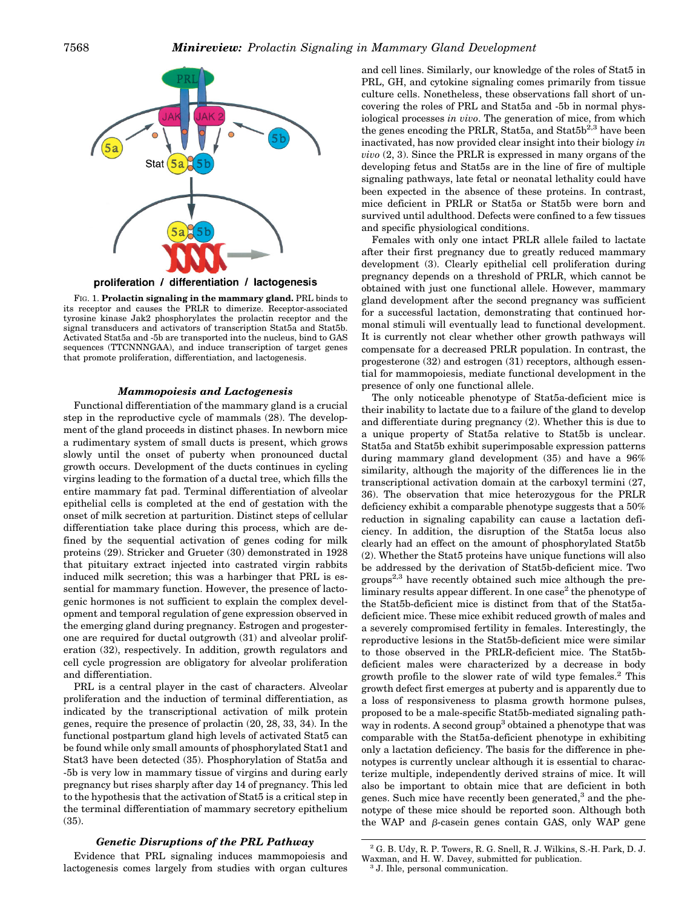

FIG. 1. **Prolactin signaling in the mammary gland.** PRL binds to its receptor and causes the PRLR to dimerize. Receptor-associated tyrosine kinase Jak2 phosphorylates the prolactin receptor and the signal transducers and activators of transcription Stat5a and Stat5b. Activated Stat5a and -5b are transported into the nucleus, bind to GAS sequences (TTCNNNGAA), and induce transcription of target genes that promote proliferation, differentiation, and lactogenesis.

### *Mammopoiesis and Lactogenesis*

Functional differentiation of the mammary gland is a crucial step in the reproductive cycle of mammals (28). The development of the gland proceeds in distinct phases. In newborn mice a rudimentary system of small ducts is present, which grows slowly until the onset of puberty when pronounced ductal growth occurs. Development of the ducts continues in cycling virgins leading to the formation of a ductal tree, which fills the entire mammary fat pad. Terminal differentiation of alveolar epithelial cells is completed at the end of gestation with the onset of milk secretion at parturition. Distinct steps of cellular differentiation take place during this process, which are defined by the sequential activation of genes coding for milk proteins (29). Stricker and Grueter (30) demonstrated in 1928 that pituitary extract injected into castrated virgin rabbits induced milk secretion; this was a harbinger that PRL is essential for mammary function. However, the presence of lactogenic hormones is not sufficient to explain the complex development and temporal regulation of gene expression observed in the emerging gland during pregnancy. Estrogen and progesterone are required for ductal outgrowth (31) and alveolar proliferation (32), respectively. In addition, growth regulators and cell cycle progression are obligatory for alveolar proliferation and differentiation.

PRL is a central player in the cast of characters. Alveolar proliferation and the induction of terminal differentiation, as indicated by the transcriptional activation of milk protein genes, require the presence of prolactin (20, 28, 33, 34). In the functional postpartum gland high levels of activated Stat5 can be found while only small amounts of phosphorylated Stat1 and Stat3 have been detected (35). Phosphorylation of Stat5a and -5b is very low in mammary tissue of virgins and during early pregnancy but rises sharply after day 14 of pregnancy. This led to the hypothesis that the activation of Stat5 is a critical step in the terminal differentiation of mammary secretory epithelium (35).

# *Genetic Disruptions of the PRL Pathway*

Evidence that PRL signaling induces mammopoiesis and lactogenesis comes largely from studies with organ cultures

and cell lines. Similarly, our knowledge of the roles of Stat5 in PRL, GH, and cytokine signaling comes primarily from tissue culture cells. Nonetheless, these observations fall short of uncovering the roles of PRL and Stat5a and -5b in normal physiological processes *in vivo*. The generation of mice, from which the genes encoding the PRLR, Stat5a, and Stat $5b^{2,3}$  have been inactivated, has now provided clear insight into their biology *in vivo* (2, 3). Since the PRLR is expressed in many organs of the developing fetus and Stat5s are in the line of fire of multiple signaling pathways, late fetal or neonatal lethality could have been expected in the absence of these proteins. In contrast, mice deficient in PRLR or Stat5a or Stat5b were born and survived until adulthood. Defects were confined to a few tissues and specific physiological conditions.

Females with only one intact PRLR allele failed to lactate after their first pregnancy due to greatly reduced mammary development (3). Clearly epithelial cell proliferation during pregnancy depends on a threshold of PRLR, which cannot be obtained with just one functional allele. However, mammary gland development after the second pregnancy was sufficient for a successful lactation, demonstrating that continued hormonal stimuli will eventually lead to functional development. It is currently not clear whether other growth pathways will compensate for a decreased PRLR population. In contrast, the progesterone (32) and estrogen (31) receptors, although essential for mammopoiesis, mediate functional development in the presence of only one functional allele.

The only noticeable phenotype of Stat5a-deficient mice is their inability to lactate due to a failure of the gland to develop and differentiate during pregnancy (2). Whether this is due to a unique property of Stat5a relative to Stat5b is unclear. Stat5a and Stat5b exhibit superimposable expression patterns during mammary gland development (35) and have a 96% similarity, although the majority of the differences lie in the transcriptional activation domain at the carboxyl termini (27, 36). The observation that mice heterozygous for the PRLR deficiency exhibit a comparable phenotype suggests that a 50% reduction in signaling capability can cause a lactation deficiency. In addition, the disruption of the Stat5a locus also clearly had an effect on the amount of phosphorylated Stat5b (2). Whether the Stat5 proteins have unique functions will also be addressed by the derivation of Stat5b-deficient mice. Two  $groups<sup>2,3</sup>$  have recently obtained such mice although the preliminary results appear different. In one case<sup>2</sup> the phenotype of the Stat5b-deficient mice is distinct from that of the Stat5adeficient mice. These mice exhibit reduced growth of males and a severely compromised fertility in females. Interestingly, the reproductive lesions in the Stat5b-deficient mice were similar to those observed in the PRLR-deficient mice. The Stat5bdeficient males were characterized by a decrease in body growth profile to the slower rate of wild type females.<sup>2</sup> This growth defect first emerges at puberty and is apparently due to a loss of responsiveness to plasma growth hormone pulses, proposed to be a male-specific Stat5b-mediated signaling pathway in rodents. A second group<sup>3</sup> obtained a phenotype that was comparable with the Stat5a-deficient phenotype in exhibiting only a lactation deficiency. The basis for the difference in phenotypes is currently unclear although it is essential to characterize multiple, independently derived strains of mice. It will also be important to obtain mice that are deficient in both genes. Such mice have recently been generated,<sup>3</sup> and the phenotype of these mice should be reported soon. Although both the WAP and  $\beta$ -casein genes contain GAS, only WAP gene

 $^2$  G. B. Udy, R. P. Towers, R. G. Snell, R. J. Wilkins, S.-H. Park, D. J. Waxman, and H. W. Davey, submitted for publication.<br><sup>3</sup> J. Ihle, personal communication.